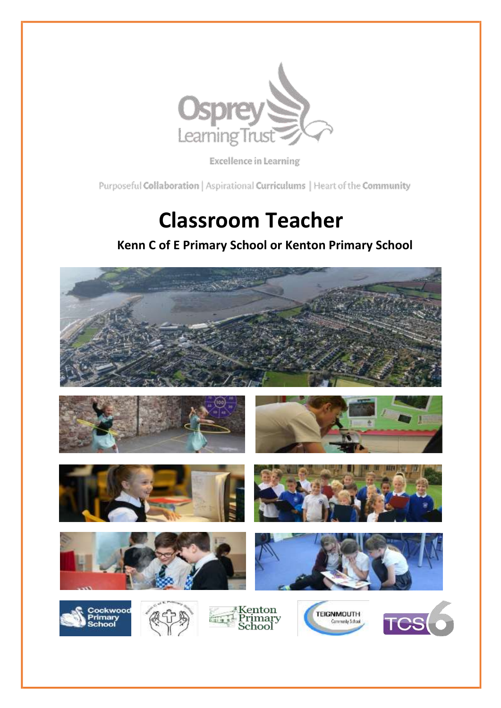

Excellence in Learning

Purposeful Collaboration | Aspirational Curriculums | Heart of the Community

# **Classroom Teacher**

### **Kenn C of E Primary School or Kenton Primary School**

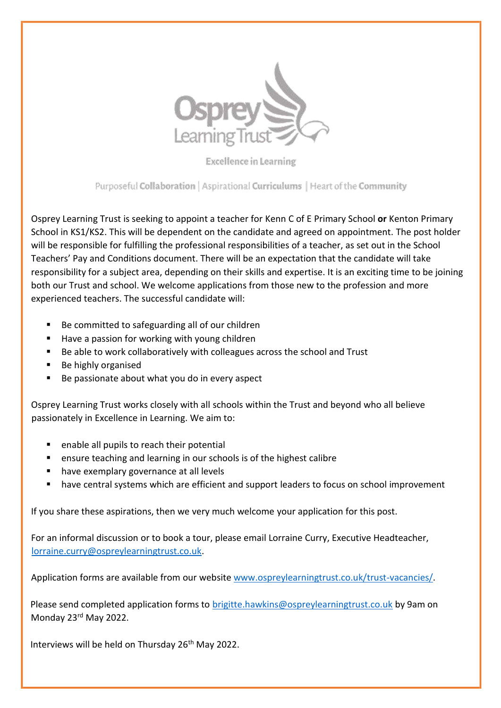

Excellence in Learning

Purposeful Collaboration | Aspirational Curriculums | Heart of the Community

Osprey Learning Trust is seeking to appoint a teacher for Kenn C of E Primary School **or** Kenton Primary School in KS1/KS2. This will be dependent on the candidate and agreed on appointment. The post holder will be responsible for fulfilling the professional responsibilities of a teacher, as set out in the School Teachers' Pay and Conditions document. There will be an expectation that the candidate will take responsibility for a subject area, depending on their skills and expertise. It is an exciting time to be joining both our Trust and school. We welcome applications from those new to the profession and more experienced teachers. The successful candidate will:

- Be committed to safeguarding all of our children
- Have a passion for working with young children
- Be able to work collaboratively with colleagues across the school and Trust
- Be highly organised
- Be passionate about what you do in every aspect

Osprey Learning Trust works closely with all schools within the Trust and beyond who all believe passionately in Excellence in Learning. We aim to:

- **E** enable all pupils to reach their potential
- **E** ensure teaching and learning in our schools is of the highest calibre
- **have exemplary governance at all levels**
- have central systems which are efficient and support leaders to focus on school improvement

If you share these aspirations, then we very much welcome your application for this post.

For an informal discussion or to book a tour, please email Lorraine Curry, Executive Headteacher, [lorraine.curry@ospreylearningtrust.co.uk.](mailto:lorraine.curry@ospreylearningtrust.co.uk)

Application forms are available from our websit[e www.ospreylearningtrust.co.uk/trust-vacancies/.](http://www.ospreylearningtrust.co.uk/trust-vacancies)

Please send completed application forms to [brigitte.hawkins@ospreylearningtrust.co.uk](mailto:brigitte.hawkins@ospreylearningtrust.co.uk) by 9am on Monday 23rd May 2022.

Interviews will be held on Thursday 26<sup>th</sup> May 2022.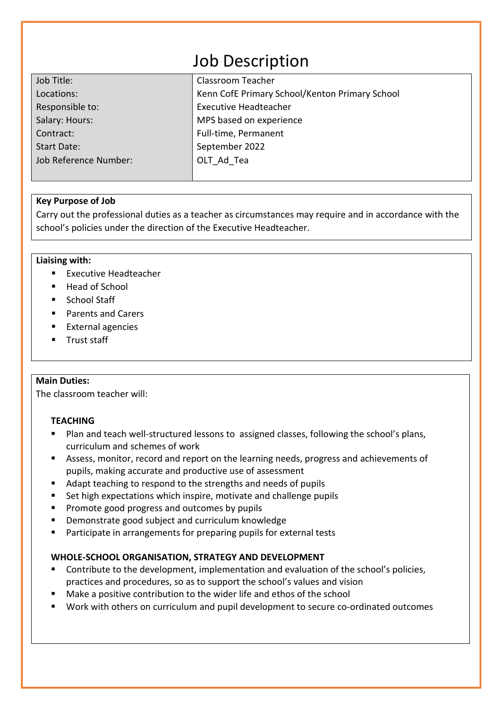## Job Description

| Job Title:            | Classroom Teacher                              |  |
|-----------------------|------------------------------------------------|--|
| Locations:            | Kenn CofE Primary School/Kenton Primary School |  |
| Responsible to:       | <b>Executive Headteacher</b>                   |  |
| Salary: Hours:        | MPS based on experience                        |  |
| Contract:             | Full-time, Permanent                           |  |
| <b>Start Date:</b>    | September 2022                                 |  |
| Job Reference Number: | OLT Ad Tea                                     |  |
|                       |                                                |  |

#### **Key Purpose of Job**

Carry out the professional duties as a teacher as circumstances may require and in accordance with the school's policies under the direction of the Executive Headteacher.

#### **Liaising with:**

- Executive Headteacher
- Head of School
- School Staff
- Parents and Carers
- **External agencies**
- **Trust staff**

#### **Main Duties:**

The classroom teacher will:

#### **TEACHING**

- Plan and teach well-structured lessons to assigned classes, following the school's plans, curriculum and schemes of work
- Assess, monitor, record and report on the learning needs, progress and achievements of pupils, making accurate and productive use of assessment
- Adapt teaching to respond to the strengths and needs of pupils
- Set high expectations which inspire, motivate and challenge pupils
- **Promote good progress and outcomes by pupils**
- **Demonstrate good subject and curriculum knowledge**
- Participate in arrangements for preparing pupils for external tests

#### **WHOLE-SCHOOL ORGANISATION, STRATEGY AND DEVELOPMENT**

- Contribute to the development, implementation and evaluation of the school's policies, practices and procedures, so as to support the school's values and vision
- Make a positive contribution to the wider life and ethos of the school
- Work with others on curriculum and pupil development to secure co-ordinated outcomes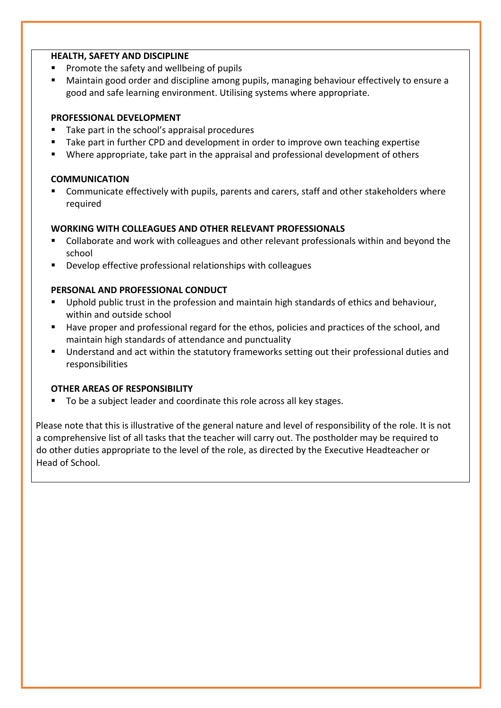#### **HEALTH, SAFETY AND DISCIPLINE**

- Promote the safety and wellbeing of pupils
- Maintain good order and discipline among pupils, managing behaviour effectively to ensure a good and safe learning environment. Utilising systems where appropriate.

#### **PROFESSIONAL DEVELOPMENT**

- Take part in the school's appraisal procedures
- **Take part in further CPD and development in order to improve own teaching expertise**
- Where appropriate, take part in the appraisal and professional development of others

#### **COMMUNICATION**

 Communicate effectively with pupils, parents and carers, staff and other stakeholders where required

#### **WORKING WITH COLLEAGUES AND OTHER RELEVANT PROFESSIONALS**

- Collaborate and work with colleagues and other relevant professionals within and beyond the school
- **Develop effective professional relationships with colleagues**

#### **PERSONAL AND PROFESSIONAL CONDUCT**

- Uphold public trust in the profession and maintain high standards of ethics and behaviour, within and outside school
- Have proper and professional regard for the ethos, policies and practices of the school, and maintain high standards of attendance and punctuality
- Understand and act within the statutory frameworks setting out their professional duties and responsibilities

#### **OTHER AREAS OF RESPONSIBILITY**

■ To be a subiect leader and coordinate this role across all key stages.

Please note that this is illustrative of the general nature and level of responsibility of the role. It is not a comprehensive list of all tasks that the teacher will carry out. The postholder may be required to do other duties appropriate to the level of the role, as directed by the Executive Headteacher or Head of School.